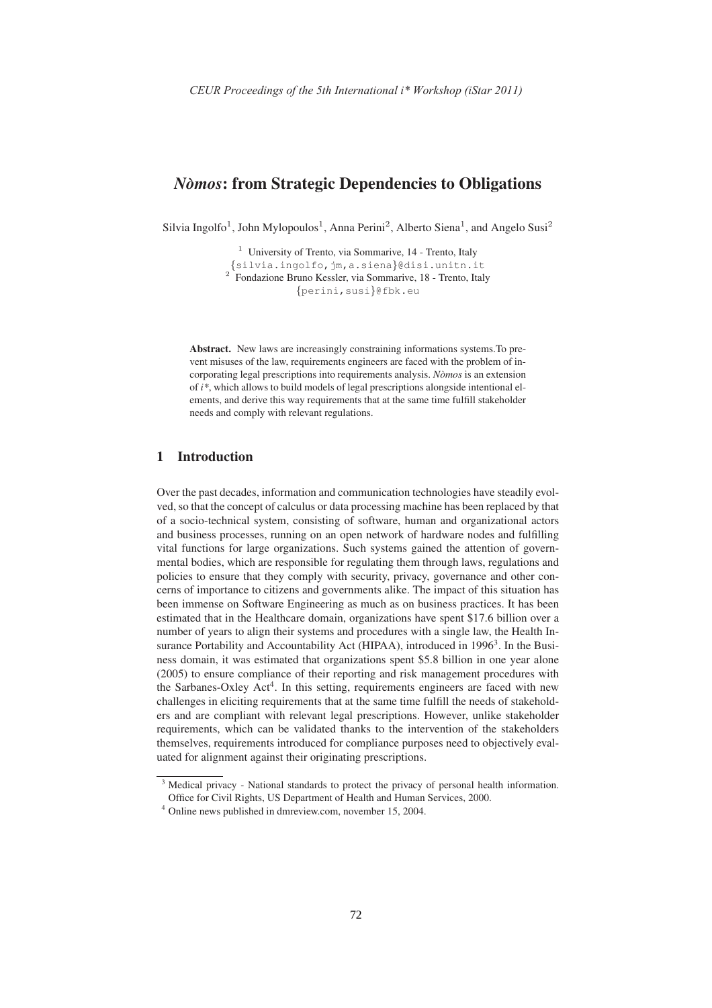# *Nòmos*: from Strategic Dependencies to Obligations

Silvia Ingolfo<sup>1</sup>, John Mylopoulos<sup>1</sup>, Anna Perini<sup>2</sup>, Alberto Siena<sup>1</sup>, and Angelo Susi<sup>2</sup>

 $1$  University of Trento, via Sommarive, 14 - Trento, Italy {silvia.ingolfo,jm,a.siena}@disi.unitn.it <sup>2</sup> Fondazione Bruno Kessler, via Sommarive, 18 - Trento, Italy {perini,susi}@fbk.eu

Abstract. New laws are increasingly constraining informations systems.To prevent misuses of the law, requirements engineers are faced with the problem of incorporating legal prescriptions into requirements analysis. *Nomos `* is an extension of *i\**, which allows to build models of legal prescriptions alongside intentional elements, and derive this way requirements that at the same time fulfill stakeholder needs and comply with relevant regulations.

## 1 Introduction

Over the past decades, information and communication technologies have steadily evolved, so that the concept of calculus or data processing machine has been replaced by that of a socio-technical system, consisting of software, human and organizational actors and business processes, running on an open network of hardware nodes and fulfilling vital functions for large organizations. Such systems gained the attention of governmental bodies, which are responsible for regulating them through laws, regulations and policies to ensure that they comply with security, privacy, governance and other concerns of importance to citizens and governments alike. The impact of this situation has been immense on Software Engineering as much as on business practices. It has been estimated that in the Healthcare domain, organizations have spent \$17.6 billion over a number of years to align their systems and procedures with a single law, the Health Insurance Portability and Accountability Act (HIPAA), introduced in 1996<sup>3</sup>. In the Business domain, it was estimated that organizations spent \$5.8 billion in one year alone (2005) to ensure compliance of their reporting and risk management procedures with the Sarbanes-Oxley Act<sup>4</sup>. In this setting, requirements engineers are faced with new challenges in eliciting requirements that at the same time fulfill the needs of stakeholders and are compliant with relevant legal prescriptions. However, unlike stakeholder requirements, which can be validated thanks to the intervention of the stakeholders themselves, requirements introduced for compliance purposes need to objectively evaluated for alignment against their originating prescriptions.

<sup>&</sup>lt;sup>3</sup> Medical privacy - National standards to protect the privacy of personal health information. Office for Civil Rights, US Department of Health and Human Services, 2000.

<sup>4</sup> Online news published in dmreview.com, november 15, 2004.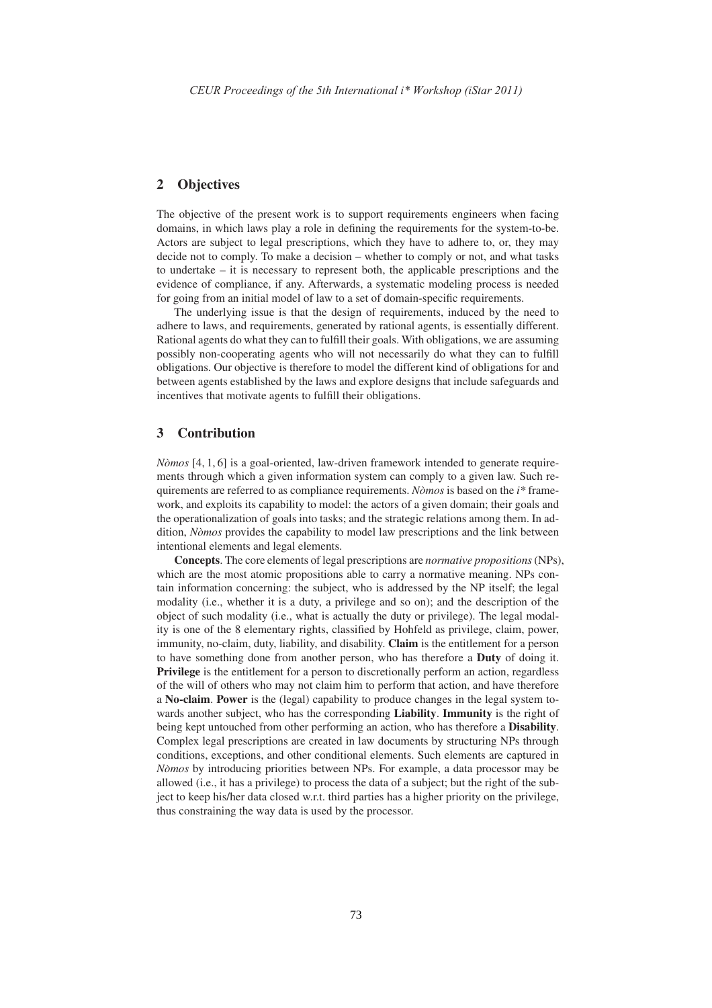### 2 Objectives

The objective of the present work is to support requirements engineers when facing domains, in which laws play a role in defining the requirements for the system-to-be. Actors are subject to legal prescriptions, which they have to adhere to, or, they may decide not to comply. To make a decision – whether to comply or not, and what tasks to undertake – it is necessary to represent both, the applicable prescriptions and the evidence of compliance, if any. Afterwards, a systematic modeling process is needed for going from an initial model of law to a set of domain-specific requirements.

The underlying issue is that the design of requirements, induced by the need to adhere to laws, and requirements, generated by rational agents, is essentially different. Rational agents do what they can to fulfill their goals. With obligations, we are assuming possibly non-cooperating agents who will not necessarily do what they can to fulfill obligations. Our objective is therefore to model the different kind of obligations for and between agents established by the laws and explore designs that include safeguards and incentives that motivate agents to fulfill their obligations.

#### 3 Contribution

*Nòmos* [4, 1, 6] is a goal-oriented, law-driven framework intended to generate requirements through which a given information system can comply to a given law. Such requirements are referred to as compliance requirements. *Nomos `* is based on the *i\** framework, and exploits its capability to model: the actors of a given domain; their goals and the operationalization of goals into tasks; and the strategic relations among them. In addition, *Nomos* provides the capability to model law prescriptions and the link between intentional elements and legal elements.

Concepts. The core elements of legal prescriptions are *normative propositions*(NPs), which are the most atomic propositions able to carry a normative meaning. NPs contain information concerning: the subject, who is addressed by the NP itself; the legal modality (i.e., whether it is a duty, a privilege and so on); and the description of the object of such modality (i.e., what is actually the duty or privilege). The legal modality is one of the 8 elementary rights, classified by Hohfeld as privilege, claim, power, immunity, no-claim, duty, liability, and disability. **Claim** is the entitlement for a person to have something done from another person, who has therefore a **Duty** of doing it. Privilege is the entitlement for a person to discretionally perform an action, regardless of the will of others who may not claim him to perform that action, and have therefore a No-claim. Power is the (legal) capability to produce changes in the legal system towards another subject, who has the corresponding Liability. Immunity is the right of being kept untouched from other performing an action, who has therefore a **Disability**. Complex legal prescriptions are created in law documents by structuring NPs through conditions, exceptions, and other conditional elements. Such elements are captured in *Nòmos* by introducing priorities between NPs. For example, a data processor may be allowed (i.e., it has a privilege) to process the data of a subject; but the right of the subject to keep his/her data closed w.r.t. third parties has a higher priority on the privilege, thus constraining the way data is used by the processor.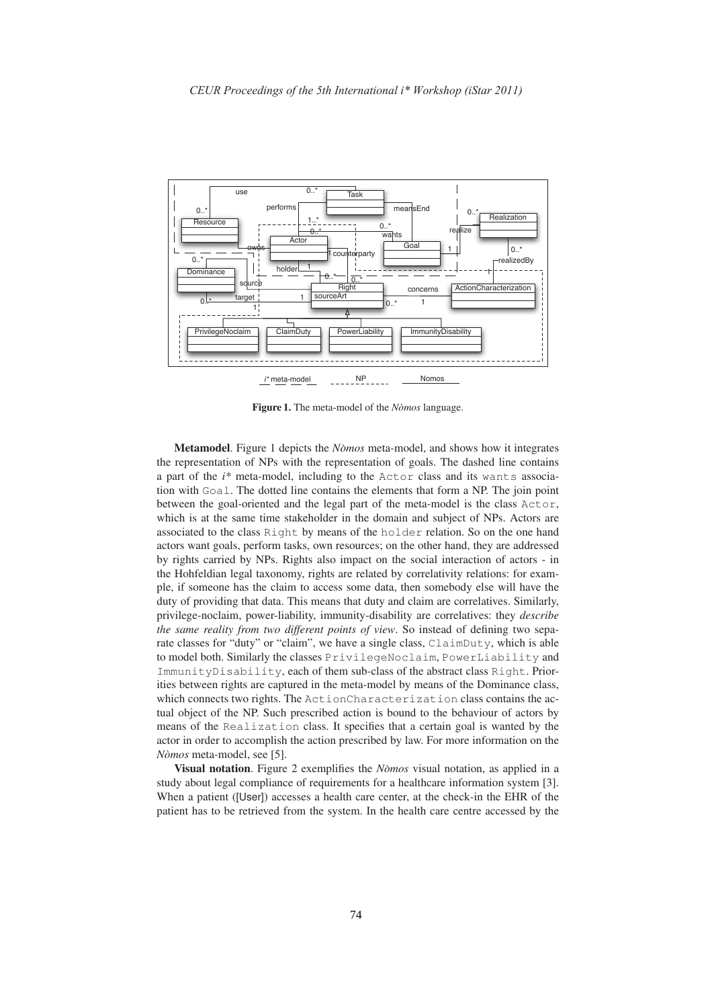

Figure 1. The meta-model of the *Nomos* language.

**Metamodel.** Figure 1 depicts the *Nomos* meta-model, and shows how it integrates the representation of NPs with the representation of goals. The dashed line contains a part of the *i\** meta-model, including to the Actor class and its wants association with Goal. The dotted line contains the elements that form a NP. The join point between the goal-oriented and the legal part of the meta-model is the class Actor, which is at the same time stakeholder in the domain and subject of NPs. Actors are associated to the class Right by means of the holder relation. So on the one hand actors want goals, perform tasks, own resources; on the other hand, they are addressed by rights carried by NPs. Rights also impact on the social interaction of actors - in the Hohfeldian legal taxonomy, rights are related by correlativity relations: for example, if someone has the claim to access some data, then somebody else will have the duty of providing that data. This means that duty and claim are correlatives. Similarly, privilege-noclaim, power-liability, immunity-disability are correlatives: they *describe the same reality from two different points of view*. So instead of defining two separate classes for "duty" or "claim", we have a single class, ClaimDuty, which is able to model both. Similarly the classes PrivilegeNoclaim, PowerLiability and ImmunityDisability, each of them sub-class of the abstract class Right. Priorities between rights are captured in the meta-model by means of the Dominance class, which connects two rights. The ActionCharacterization class contains the actual object of the NP. Such prescribed action is bound to the behaviour of actors by means of the Realization class. It specifies that a certain goal is wanted by the actor in order to accomplish the action prescribed by law. For more information on the *Nomos `* meta-model, see [5].

Visual notation. Figure 2 exemplifies the *Nomos `* visual notation, as applied in a study about legal compliance of requirements for a healthcare information system [3]. When a patient ([User]) accesses a health care center, at the check-in the EHR of the patient has to be retrieved from the system. In the health care centre accessed by the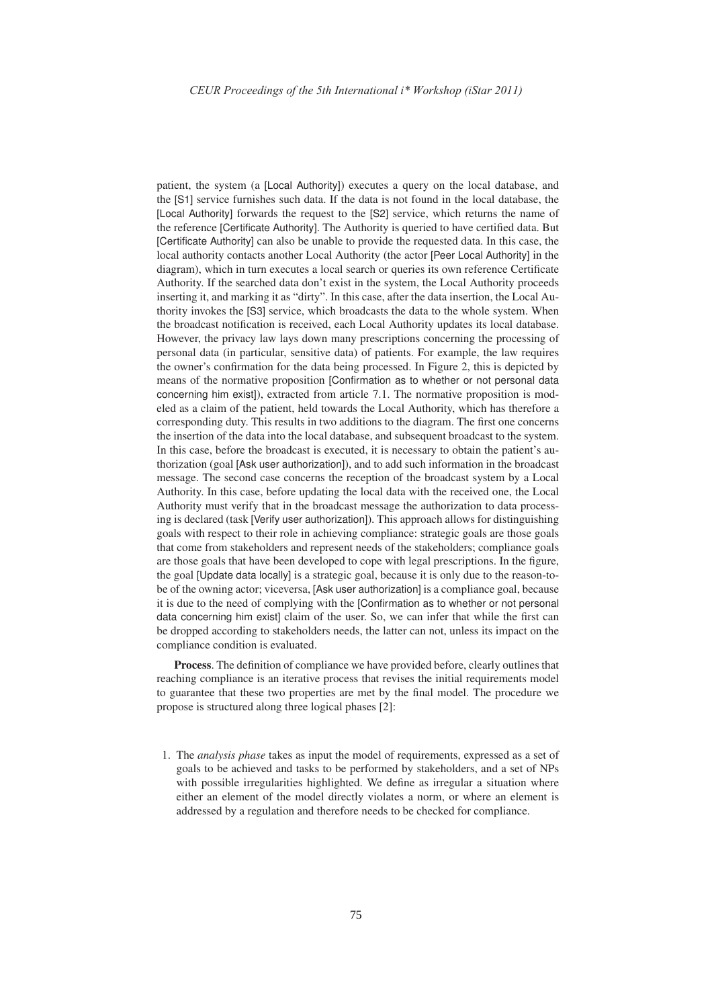patient, the system (a [Local Authority]) executes a query on the local database, and the [S1] service furnishes such data. If the data is not found in the local database, the [Local Authority] forwards the request to the [S2] service, which returns the name of the reference [Certificate Authority]. The Authority is queried to have certified data. But [Certificate Authority] can also be unable to provide the requested data. In this case, the local authority contacts another Local Authority (the actor [Peer Local Authority] in the diagram), which in turn executes a local search or queries its own reference Certificate Authority. If the searched data don't exist in the system, the Local Authority proceeds inserting it, and marking it as "dirty". In this case, after the data insertion, the Local Authority invokes the [S3] service, which broadcasts the data to the whole system. When the broadcast notification is received, each Local Authority updates its local database. However, the privacy law lays down many prescriptions concerning the processing of personal data (in particular, sensitive data) of patients. For example, the law requires the owner's confirmation for the data being processed. In Figure 2, this is depicted by means of the normative proposition [Confirmation as to whether or not personal data concerning him exist]), extracted from article 7.1. The normative proposition is modeled as a claim of the patient, held towards the Local Authority, which has therefore a corresponding duty. This results in two additions to the diagram. The first one concerns the insertion of the data into the local database, and subsequent broadcast to the system. In this case, before the broadcast is executed, it is necessary to obtain the patient's authorization (goal [Ask user authorization]), and to add such information in the broadcast message. The second case concerns the reception of the broadcast system by a Local Authority. In this case, before updating the local data with the received one, the Local Authority must verify that in the broadcast message the authorization to data processing is declared (task [Verify user authorization]). This approach allows for distinguishing goals with respect to their role in achieving compliance: strategic goals are those goals that come from stakeholders and represent needs of the stakeholders; compliance goals are those goals that have been developed to cope with legal prescriptions. In the figure, the goal [Update data locally] is a strategic goal, because it is only due to the reason-tobe of the owning actor; viceversa, [Ask user authorization] is a compliance goal, because it is due to the need of complying with the [Confirmation as to whether or not personal data concerning him exist] claim of the user. So, we can infer that while the first can be dropped according to stakeholders needs, the latter can not, unless its impact on the compliance condition is evaluated.

Process. The definition of compliance we have provided before, clearly outlines that reaching compliance is an iterative process that revises the initial requirements model to guarantee that these two properties are met by the final model. The procedure we propose is structured along three logical phases [2]:

1. The *analysis phase* takes as input the model of requirements, expressed as a set of goals to be achieved and tasks to be performed by stakeholders, and a set of NPs with possible irregularities highlighted. We define as irregular a situation where either an element of the model directly violates a norm, or where an element is addressed by a regulation and therefore needs to be checked for compliance.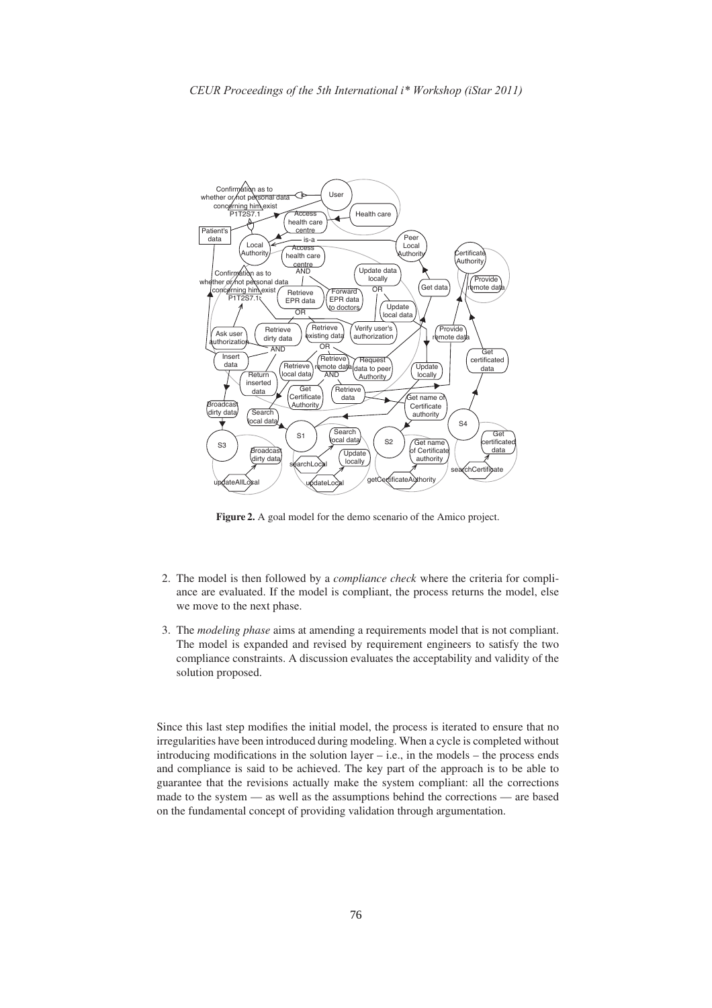

Figure 2. A goal model for the demo scenario of the Amico project.

- 2. The model is then followed by a *compliance check* where the criteria for compliance are evaluated. If the model is compliant, the process returns the model, else we move to the next phase.
- 3. The *modeling phase* aims at amending a requirements model that is not compliant. The model is expanded and revised by requirement engineers to satisfy the two compliance constraints. A discussion evaluates the acceptability and validity of the solution proposed.

Since this last step modifies the initial model, the process is iterated to ensure that no irregularities have been introduced during modeling. When a cycle is completed without introducing modifications in the solution layer – i.e., in the models – the process ends and compliance is said to be achieved. The key part of the approach is to be able to guarantee that the revisions actually make the system compliant: all the corrections made to the system — as well as the assumptions behind the corrections — are based on the fundamental concept of providing validation through argumentation.